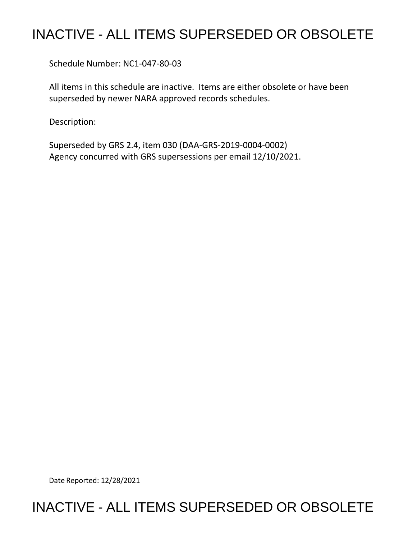## INACTIVE - ALL ITEMS SUPERSEDED OR OBSOLETE

Schedule Number: NC1-047-80-03

All items in this schedule are inactive. Items are either obsolete or have been superseded by newer NARA approved records schedules.

Description:

Superseded by GRS 2.4, item 030 (DAA-GRS-2019-0004-0002) Agency concurred with GRS supersessions per email 12/10/2021.

Date Reported: 12/28/2021

## INACTIVE - ALL ITEMS SUPERSEDED OR OBSOLETE